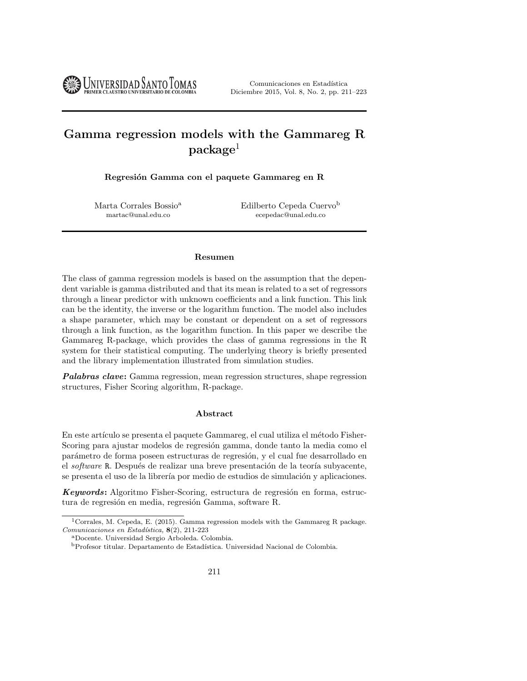UNIVERSIDAD SANTO TOMAS

Comunicaciones en Estadística Diciembre 2015, Vol. 8, No. 2, pp. 211–223

# Gamma regression models with the Gammareg R  $\rm{package}^1$

Regresión Gamma con el paquete Gammareg en R

Marta Corrales Bossio<sup>a</sup> martac@unal.edu.co

Edilberto Cepeda Cuervo<sup>b</sup> ecepedac@unal.edu.co

#### Resumen

The class of gamma regression models is based on the assumption that the dependent variable is gamma distributed and that its mean is related to a set of regressors through a linear predictor with unknown coefficients and a link function. This link can be the identity, the inverse or the logarithm function. The model also includes a shape parameter, which may be constant or dependent on a set of regressors through a link function, as the logarithm function. In this paper we describe the Gammareg R-package, which provides the class of gamma regressions in the R system for their statistical computing. The underlying theory is briefly presented and the library implementation illustrated from simulation studies.

**Palabras clave:** Gamma regression, mean regression structures, shape regression structures, Fisher Scoring algorithm, R-package.

#### Abstract

En este artículo se presenta el paquete Gammareg, el cual utiliza el método Fisher-Scoring para ajustar modelos de regresión gamma, donde tanto la media como el parámetro de forma poseen estructuras de regresión, y el cual fue desarrollado en el software R. Después de realizar una breve presentación de la teoría subyacente, se presenta el uso de la librería por medio de estudios de simulación y aplicaciones.

Keywords: Algoritmo Fisher-Scoring, estructura de regresión en forma, estructura de regresión en media, regresión Gamma, software R.

<sup>&</sup>lt;sup>1</sup>Corrales, M. Cepeda, E. (2015). Gamma regression models with the Gammareg R package. Comunicaciones en Estadística,  $8(2)$ , 211-223

<sup>a</sup>Docente. Universidad Sergio Arboleda. Colombia.

 $\rm ^b$ Profesor titular. Departamento de Estadística. Universidad Nacional de Colombia.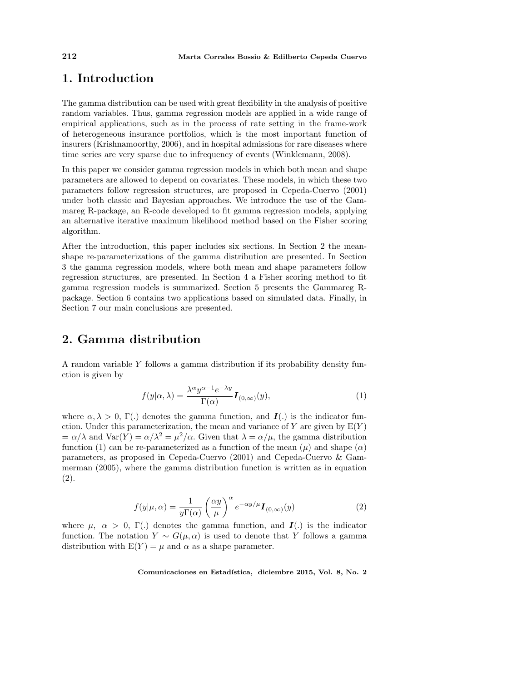### 1. Introduction

The gamma distribution can be used with great flexibility in the analysis of positive random variables. Thus, gamma regression models are applied in a wide range of empirical applications, such as in the process of rate setting in the frame-work of heterogeneous insurance portfolios, which is the most important function of insurers (Krishnamoorthy, 2006), and in hospital admissions for rare diseases where time series are very sparse due to infrequency of events (Winklemann, 2008).

In this paper we consider gamma regression models in which both mean and shape parameters are allowed to depend on covariates. These models, in which these two parameters follow regression structures, are proposed in Cepeda-Cuervo (2001) under both classic and Bayesian approaches. We introduce the use of the Gammareg R-package, an R-code developed to fit gamma regression models, applying an alternative iterative maximum likelihood method based on the Fisher scoring algorithm.

After the introduction, this paper includes six sections. In Section 2 the meanshape re-parameterizations of the gamma distribution are presented. In Section 3 the gamma regression models, where both mean and shape parameters follow regression structures, are presented. In Section 4 a Fisher scoring method to fit gamma regression models is summarized. Section 5 presents the Gammareg Rpackage. Section 6 contains two applications based on simulated data. Finally, in Section 7 our main conclusions are presented.

### 2. Gamma distribution

A random variable Y follows a gamma distribution if its probability density function is given by

$$
f(y|\alpha,\lambda) = \frac{\lambda^{\alpha} y^{\alpha-1} e^{-\lambda y}}{\Gamma(\alpha)} I_{(0,\infty)}(y),
$$
\n(1)

where  $\alpha, \lambda > 0$ , Γ(.) denotes the gamma function, and  $I(.)$  is the indicator function. Under this parameterization, the mean and variance of Y are given by  $E(Y)$  $= \alpha/\lambda$  and  $\text{Var}(Y) = \alpha/\lambda^2 = \mu^2/\alpha$ . Given that  $\lambda = \alpha/\mu$ , the gamma distribution function (1) can be re-parameterized as a function of the mean  $(\mu)$  and shape  $(\alpha)$ parameters, as proposed in Cepeda-Cuervo (2001) and Cepeda-Cuervo & Gammerman (2005), where the gamma distribution function is written as in equation (2).

$$
f(y|\mu,\alpha) = \frac{1}{y\Gamma(\alpha)} \left(\frac{\alpha y}{\mu}\right)^{\alpha} e^{-\alpha y/\mu} I_{(0,\infty)}(y)
$$
 (2)

where  $\mu$ ,  $\alpha > 0$ ,  $\Gamma$ .) denotes the gamma function, and  $\mathbf{I}$ . is the indicator function. The notation  $Y \sim G(\mu, \alpha)$  is used to denote that Y follows a gamma distribution with  $E(Y) = \mu$  and  $\alpha$  as a shape parameter.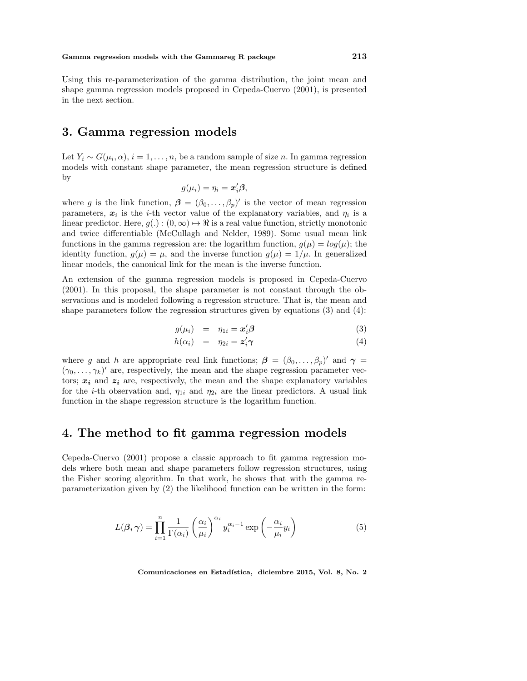Using this re-parameterization of the gamma distribution, the joint mean and shape gamma regression models proposed in Cepeda-Cuervo (2001), is presented in the next section.

### 3. Gamma regression models

Let  $Y_i \sim G(\mu_i, \alpha), i = 1, \ldots, n$ , be a random sample of size n. In gamma regression models with constant shape parameter, the mean regression structure is defined by

$$
g(\mu_i)=\eta_i=\boldsymbol{x}_i'\boldsymbol{\beta},
$$

where g is the link function,  $\boldsymbol{\beta} = (\beta_0, \dots, \beta_p)'$  is the vector of mean regression parameters,  $x_i$  is the *i*-th vector value of the explanatory variables, and  $\eta_i$  is a linear predictor. Here,  $g(.) : (0, \infty) \mapsto \Re$  is a real value function, strictly monotonic and twice differentiable (McCullagh and Nelder, 1989). Some usual mean link functions in the gamma regression are: the logarithm function,  $g(\mu) = log(\mu)$ ; the identity function,  $g(\mu) = \mu$ , and the inverse function  $g(\mu) = 1/\mu$ . In generalized linear models, the canonical link for the mean is the inverse function.

An extension of the gamma regression models is proposed in Cepeda-Cuervo (2001). In this proposal, the shape parameter is not constant through the observations and is modeled following a regression structure. That is, the mean and shape parameters follow the regression structures given by equations  $(3)$  and  $(4)$ :

$$
g(\mu_i) = \eta_{1i} = \mathbf{x}'_i \mathbf{\beta} \tag{3}
$$

$$
h(\alpha_i) = \eta_{2i} = \mathbf{z}'_i \boldsymbol{\gamma} \tag{4}
$$

where g and h are appropriate real link functions;  $\beta = (\beta_0, \dots, \beta_p)'$  and  $\gamma =$  $(\gamma_0, \ldots, \gamma_k)'$  are, respectively, the mean and the shape regression parameter vectors;  $x_i$  and  $z_i$  are, respectively, the mean and the shape explanatory variables for the *i*-th observation and,  $\eta_{1i}$  and  $\eta_{2i}$  are the linear predictors. A usual link function in the shape regression structure is the logarithm function.

### 4. The method to fit gamma regression models

Cepeda-Cuervo (2001) propose a classic approach to fit gamma regression models where both mean and shape parameters follow regression structures, using the Fisher scoring algorithm. In that work, he shows that with the gamma reparameterization given by (2) the likelihood function can be written in the form:

$$
L(\boldsymbol{\beta}, \boldsymbol{\gamma}) = \prod_{i=1}^{n} \frac{1}{\Gamma(\alpha_i)} \left(\frac{\alpha_i}{\mu_i}\right)^{\alpha_i} y_i^{\alpha_i - 1} \exp\left(-\frac{\alpha_i}{\mu_i} y_i\right)
$$
(5)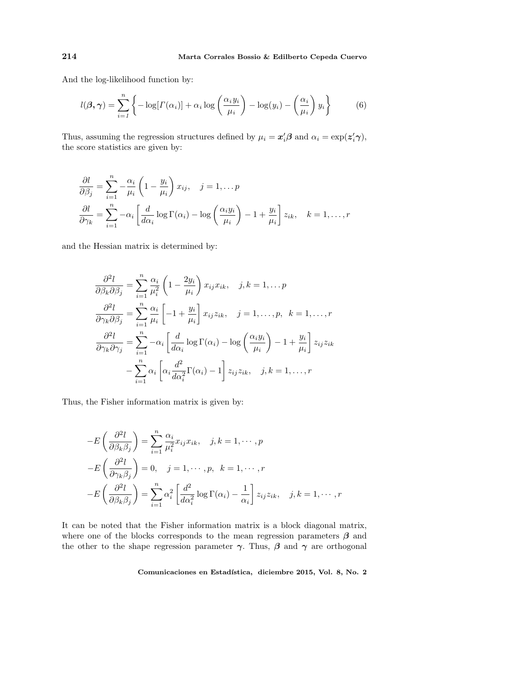And the log-likelihood function by:

$$
l(\boldsymbol{\beta}, \boldsymbol{\gamma}) = \sum_{i=1}^{n} \left\{-\log[r(\alpha_i)] + \alpha_i \log\left(\frac{\alpha_i y_i}{\mu_i}\right) - \log(y_i) - \left(\frac{\alpha_i}{\mu_i}\right) y_i\right\} \tag{6}
$$

Thus, assuming the regression structures defined by  $\mu_i = \mathbf{x}'_i \boldsymbol{\beta}$  and  $\alpha_i = \exp(\mathbf{z}'_i \boldsymbol{\gamma})$ , the score statistics are given by:

$$
\frac{\partial l}{\partial \beta_j} = \sum_{i=1}^n -\frac{\alpha_i}{\mu_i} \left( 1 - \frac{y_i}{\mu_i} \right) x_{ij}, \quad j = 1, \dots p
$$
  

$$
\frac{\partial l}{\partial \gamma_k} = \sum_{i=1}^n -\alpha_i \left[ \frac{d}{d\alpha_i} \log \Gamma(\alpha_i) - \log \left( \frac{\alpha_i y_i}{\mu_i} \right) - 1 + \frac{y_i}{\mu_i} \right] z_{ik}, \quad k = 1, \dots, r
$$

and the Hessian matrix is determined by:

$$
\frac{\partial^2 l}{\partial \beta_k \partial \beta_j} = \sum_{i=1}^n \frac{\alpha_i}{\mu_i^2} \left( 1 - \frac{2y_i}{\mu_i} \right) x_{ij} x_{ik}, \quad j, k = 1, \dots, p
$$

$$
\frac{\partial^2 l}{\partial \gamma_k \partial \beta_j} = \sum_{i=1}^n \frac{\alpha_i}{\mu_i} \left[ -1 + \frac{y_i}{\mu_i} \right] x_{ij} z_{ik}, \quad j = 1, \dots, p, \quad k = 1, \dots, r
$$

$$
\frac{\partial^2 l}{\partial \gamma_k \partial \gamma_j} = \sum_{i=1}^n -\alpha_i \left[ \frac{d}{d\alpha_i} \log \Gamma(\alpha_i) - \log \left( \frac{\alpha_i y_i}{\mu_i} \right) - 1 + \frac{y_i}{\mu_i} \right] z_{ij} z_{ik}
$$

$$
- \sum_{i=1}^n \alpha_i \left[ \alpha_i \frac{d^2}{d\alpha_i^2} \Gamma(\alpha_i) - 1 \right] z_{ij} z_{ik}, \quad j, k = 1, \dots, r
$$

Thus, the Fisher information matrix is given by:

$$
-E\left(\frac{\partial^2 l}{\partial \beta_k \beta_j}\right) = \sum_{i=1}^n \frac{\alpha_i}{\mu_i^2} x_{ij} x_{ik}, \quad j, k = 1, \cdots, p
$$

$$
-E\left(\frac{\partial^2 l}{\partial \gamma_k \beta_j}\right) = 0, \quad j = 1, \cdots, p, \quad k = 1, \cdots, r
$$

$$
-E\left(\frac{\partial^2 l}{\partial \beta_k \beta_j}\right) = \sum_{i=1}^n \alpha_i^2 \left[\frac{d^2}{d \alpha_i^2} \log \Gamma(\alpha_i) - \frac{1}{\alpha_i}\right] z_{ij} z_{ik}, \quad j, k = 1, \cdots, r
$$

It can be noted that the Fisher information matrix is a block diagonal matrix, where one of the blocks corresponds to the mean regression parameters  $\beta$  and the other to the shape regression parameter  $\gamma$ . Thus,  $\beta$  and  $\gamma$  are orthogonal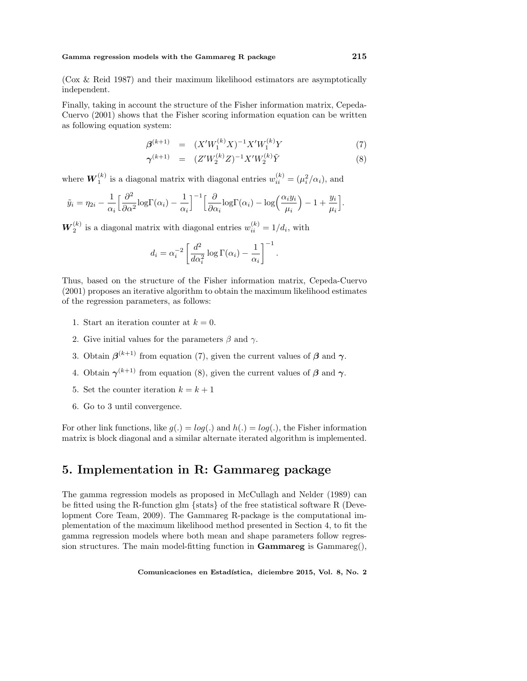#### Gamma regression models with the Gammareg R package  $215$

(Cox & Reid 1987) and their maximum likelihood estimators are asymptotically independent.

Finally, taking in account the structure of the Fisher information matrix, Cepeda-Cuervo (2001) shows that the Fisher scoring information equation can be written as following equation system:

$$
\beta^{(k+1)} = (X'W_1^{(k)}X)^{-1}X'W_1^{(k)}Y \tag{7}
$$

$$
\gamma^{(k+1)} = (Z'W_2^{(k)}Z)^{-1}X'W_2^{(k)}\tilde{Y}
$$
\n(8)

.

where  $\boldsymbol{W}_1^{(k)}$  is a diagonal matrix with diagonal entries  $w_{ii}^{(k)} = (\mu_i^2/\alpha_i)$ , and

$$
\tilde{y}_i = \eta_{2i} - \frac{1}{\alpha_i} \Big[ \frac{\partial^2}{\partial \alpha^2} \log \Gamma(\alpha_i) - \frac{1}{\alpha_i} \Big]^{-1} \Big[ \frac{\partial}{\partial \alpha_i} \log \Gamma(\alpha_i) - \log \Big( \frac{\alpha_i y_i}{\mu_i} \Big) - 1 + \frac{y_i}{\mu_i} \Big].
$$

 $\boldsymbol{W}_{2}^{(k)}$  is a diagonal matrix with diagonal entries  $w_{ii}^{(k)} = 1/d_i$ , with

$$
d_i = \alpha_i^{-2} \left[ \frac{d^2}{d\alpha_i^2} \log \Gamma(\alpha_i) - \frac{1}{\alpha_i} \right]^{-1}
$$

Thus, based on the structure of the Fisher information matrix, Cepeda-Cuervo (2001) proposes an iterative algorithm to obtain the maximum likelihood estimates of the regression parameters, as follows:

- 1. Start an iteration counter at  $k = 0$ .
- 2. Give initial values for the parameters  $\beta$  and  $\gamma$ .
- 3. Obtain  $\beta^{(k+1)}$  from equation (7), given the current values of  $\beta$  and  $\gamma$ .
- 4. Obtain  $\gamma^{(k+1)}$  from equation (8), given the current values of  $\beta$  and  $\gamma$ .
- 5. Set the counter iteration  $k = k + 1$
- 6. Go to 3 until convergence.

For other link functions, like  $g(.) = log(.)$  and  $h(.) = log(.)$ , the Fisher information matrix is block diagonal and a similar alternate iterated algorithm is implemented.

## 5. Implementation in R: Gammareg package

The gamma regression models as proposed in McCullagh and Nelder (1989) can be fitted using the R-function glm {stats} of the free statistical software R (Development Core Team, 2009). The Gammareg R-package is the computational implementation of the maximum likelihood method presented in Section 4, to fit the gamma regression models where both mean and shape parameters follow regression structures. The main model-fitting function in **Gammareg** is  $Gamma(g)$ ,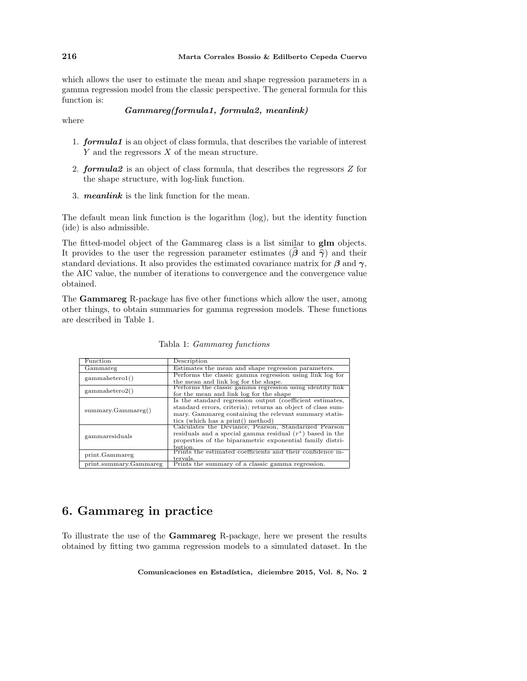which allows the user to estimate the mean and shape regression parameters in a gamma regression model from the classic perspective. The general formula for this function is:

#### Gammareg(formula1, formula2, meanlink)

where

- 1. formula1 is an object of class formula, that describes the variable of interest  $Y$  and the regressors  $X$  of the mean structure.
- 2. formula2 is an object of class formula, that describes the regressors Z for the shape structure, with log-link function.
- 3. meanlink is the link function for the mean.

The default mean link function is the logarithm (log), but the identity function (ide) is also admissible.

The fitted-model object of the Gammareg class is a list similar to glm objects. It provides to the user the regression parameter estimates ( $\beta$  and  $\hat{\gamma}$ ) and their standard deviations. It also provides the estimated covariance matrix for  $\beta$  and  $\gamma$ , the AIC value, the number of iterations to convergence and the convergence value obtained.

The Gammareg R-package has five other functions which allow the user, among other things, to obtain summaries for gamma regression models. These functions are described in Table 1.

| Function               | Description                                                 |
|------------------------|-------------------------------------------------------------|
| Gammareg               | Estimates the mean and shape regression parameters.         |
| gamma(                 | Performs the classic gamma regression using link log for    |
|                        | the mean and link log for the shape.                        |
| gamma(2)               | Performs the classic gamma regression using identity link   |
|                        | for the mean and link log for the shape                     |
| summarv.Gammareg()     | Is the standard regression output (coefficient estimates,   |
|                        | standard errors, criteria); returns an object of class sum- |
|                        | mary. Gammareg containing the relevant summary statis-      |
|                        | tics (which has a print() method)                           |
| gammaresiduals         | Calculates the Deviance, Pearson, Standarized Pearson       |
|                        | residuals and a special gamma residual $(r^*)$ based in the |
|                        | properties of the biparametric exponential family distri-   |
|                        | bution.                                                     |
| print.Gammareg         | Prints the estimated coefficients and their confidence in-  |
|                        | tervals.                                                    |
| print.summary.Gammareg | Prints the summary of a classic gamma regression.           |

Tabla 1: Gammareg functions

# 6. Gammareg in practice

To illustrate the use of the Gammareg R-package, here we present the results obtained by fitting two gamma regression models to a simulated dataset. In the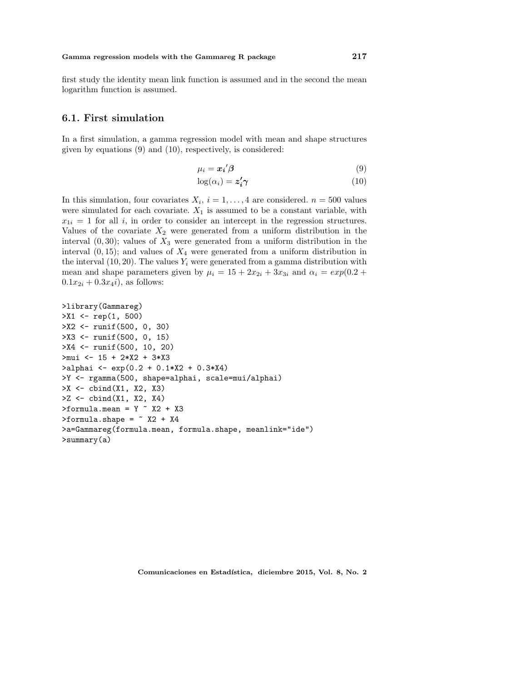first study the identity mean link function is assumed and in the second the mean logarithm function is assumed.

#### 6.1. First simulation

In a first simulation, a gamma regression model with mean and shape structures given by equations (9) and (10), respectively, is considered:

$$
\mu_i = \mathbf{x_i}' \boldsymbol{\beta} \tag{9}
$$

$$
\log(\alpha_i) = \mathbf{z}_i' \boldsymbol{\gamma} \tag{10}
$$

In this simulation, four covariates  $X_i$ ,  $i = 1, ..., 4$  are considered.  $n = 500$  values were simulated for each covariate.  $X_1$  is assumed to be a constant variable, with  $x_{1i} = 1$  for all i, in order to consider an intercept in the regression structures. Values of the covariate  $X_2$  were generated from a uniform distribution in the interval  $(0, 30)$ ; values of  $X_3$  were generated from a uniform distribution in the interval  $(0, 15)$ ; and values of  $X_4$  were generated from a uniform distribution in the interval  $(10, 20)$ . The values  $Y_i$  were generated from a gamma distribution with mean and shape parameters given by  $\mu_i = 15 + 2x_{2i} + 3x_{3i}$  and  $\alpha_i = exp(0.2 +$  $0.1x_{2i} + 0.3x_4i$ , as follows:

```
>library(Gammareg)
>X1 <- rep(1, 500)
>X2 <- runif(500, 0, 30)
>X3 <- runif(500, 0, 15)
>X4 <- runif(500, 10, 20)
>mui <- 15 + 2*X2 + 3*X3
>alphai <- exp(0.2 + 0.1*X2 + 0.3*X4)
>Y <- rgamma(500, shape=alphai, scale=mui/alphai)
>X <- cbind(X1, X2, X3)
>Z <- cbind(X1, X2, X4)
\text{Formula}.mean = Y \text{X2 + X3}\text{Formula.shape} = \text{X2} + \text{X4}>a=Gammareg(formula.mean, formula.shape, meanlink="ide")
>summary(a)
```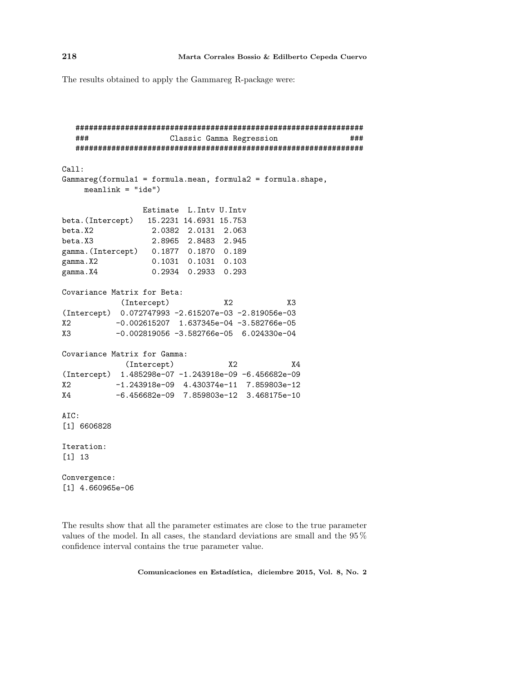The results obtained to apply the Gammareg R-package were:

```
################################################################
  ### Classic Gamma Regression ###
  ################################################################
Call:
Gammareg(formula1 = formula.mean, formula2 = formula.shape,
    meanlink = "ide")Estimate L.Intv U.Intv
beta.(Intercept) 15.2231 14.6931 15.753
beta.X2 2.0382 2.0131 2.063
beta.X3 2.8965 2.8483 2.945
gamma.(Intercept) 0.1877 0.1870 0.189
gamma.X2 0.1031 0.1031 0.103
gamma.X4 0.2934 0.2933 0.293
Covariance Matrix for Beta:
          (Intercept) X2 X3
(Intercept) 0.072747993 -2.615207e-03 -2.819056e-03
X2 -0.002615207 1.637345e-04 -3.582766e-05
X3 -0.002819056 -3.582766e-05 6.024330e-04
Covariance Matrix for Gamma:
           (Intercept) X2 X4
(Intercept) 1.485298e-07 -1.243918e-09 -6.456682e-09
X2 -1.243918e-09 4.430374e-11 7.859803e-12
X4 -6.456682e-09 7.859803e-12 3.468175e-10
AIC:
[1] 6606828
Iteration:
[1] 13
Convergence:
[1] 4.660965e-06
```
The results show that all the parameter estimates are close to the true parameter values of the model. In all cases, the standard deviations are small and the 95 % confidence interval contains the true parameter value.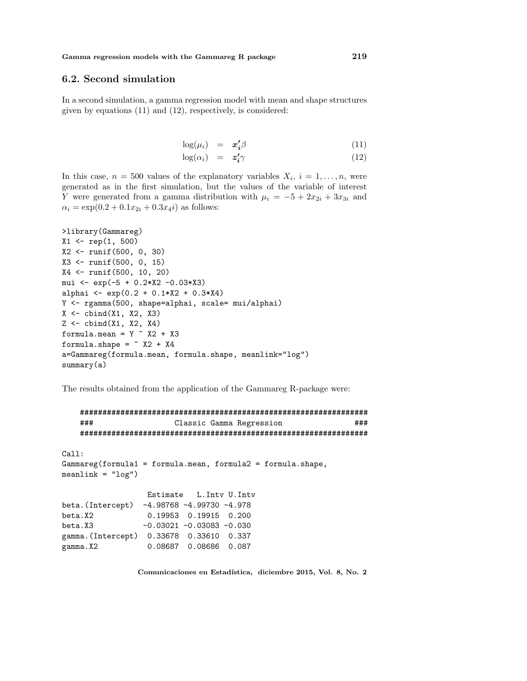#### 6.2. Second simulation

In a second simulation, a gamma regression model with mean and shape structures given by equations (11) and (12), respectively, is considered:

$$
\log(\mu_i) = \mathbf{x_i'} \beta \tag{11}
$$

$$
\log(\alpha_i) = \mathbf{z_i'} \gamma \tag{12}
$$

In this case,  $n = 500$  values of the explanatory variables  $X_i$ ,  $i = 1, \ldots, n$ , were generated as in the first simulation, but the values of the variable of interest Y were generated from a gamma distribution with  $\mu_i = -5 + 2x_{2i} + 3x_{3i}$  and  $\alpha_i = \exp(0.2 + 0.1x_{2i} + 0.3x_4i)$  as follows:

```
>library(Gammareg)
X1 <- rep(1, 500)
X2 <- runif(500, 0, 30)
X3 <- runif(500, 0, 15)
X4 <- runif(500, 10, 20)
mui <- exp(-5 + 0.2*X2 -0.03*X3)
alphai \leftarrow exp(0.2 + 0.1*X2 + 0.3*X4)
Y <- rgamma(500, shape=alphai, scale= mui/alphai)
X \leftarrow \text{cbind}(X1, X2, X3)Z \leftarrow \text{cbind}(X1, X2, X4)formula.mean = Y \sim X2 + X3formula.shape = \sim X2 + X4
a=Gammareg(formula.mean, formula.shape, meanlink="log")
summary(a)
```
The results obtained from the application of the Gammareg R-package were:

```
################################################################
   ### Classic Gamma Regression ###
   ################################################################
Call:
Gammareg(formula1 = formula.mean, formula2 = formula.shape,
meanlink = "log")Estimate L.Intv U.Intv
beta.(Intercept) -4.98768 -4.99730 -4.978
beta.X2 0.19953 0.19915 0.200
beta.X3 -0.03021 -0.03083 -0.030
gamma.(Intercept) 0.33678 0.33610 0.337
gamma.X2 0.08687 0.08686 0.087
```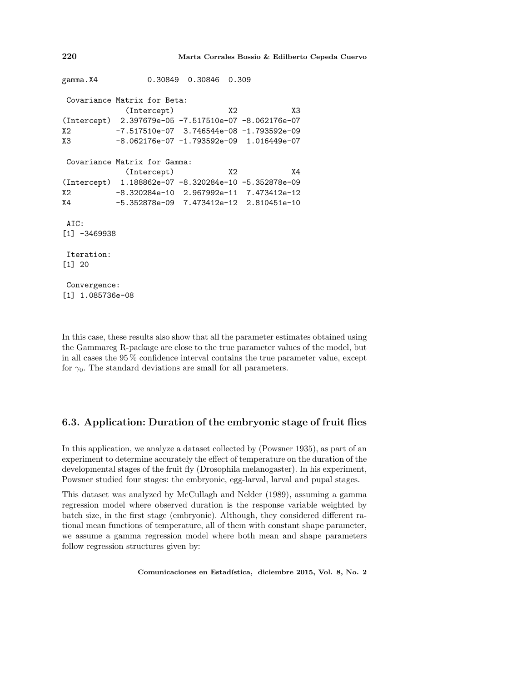```
gamma.X4 0.30849 0.30846 0.309
Covariance Matrix for Beta:
           (Intercept) X2 X3
(Intercept) 2.397679e-05 -7.517510e-07 -8.062176e-07
X2 -7.517510e-07 3.746544e-08 -1.793592e-09
X3 -8.062176e-07 -1.793592e-09 1.016449e-07
Covariance Matrix for Gamma:
           (Intercept) X2 X4
(Intercept) 1.188862e-07 -8.320284e-10 -5.352878e-09
X2 -8.320284e-10 2.967992e-11 7.473412e-12
X4 -5.352878e-09 7.473412e-12 2.810451e-10
AIC:
[1] -3469938
Iteration:
[1] 20
Convergence:
[1] 1.085736e-08
```
In this case, these results also show that all the parameter estimates obtained using the Gammareg R-package are close to the true parameter values of the model, but in all cases the 95 % confidence interval contains the true parameter value, except for  $\gamma_0$ . The standard deviations are small for all parameters.

### 6.3. Application: Duration of the embryonic stage of fruit flies

In this application, we analyze a dataset collected by (Powsner 1935), as part of an experiment to determine accurately the effect of temperature on the duration of the developmental stages of the fruit fly (Drosophila melanogaster). In his experiment, Powsner studied four stages: the embryonic, egg-larval, larval and pupal stages.

This dataset was analyzed by McCullagh and Nelder (1989), assuming a gamma regression model where observed duration is the response variable weighted by batch size, in the first stage (embryonic). Although, they considered different rational mean functions of temperature, all of them with constant shape parameter, we assume a gamma regression model where both mean and shape parameters follow regression structures given by: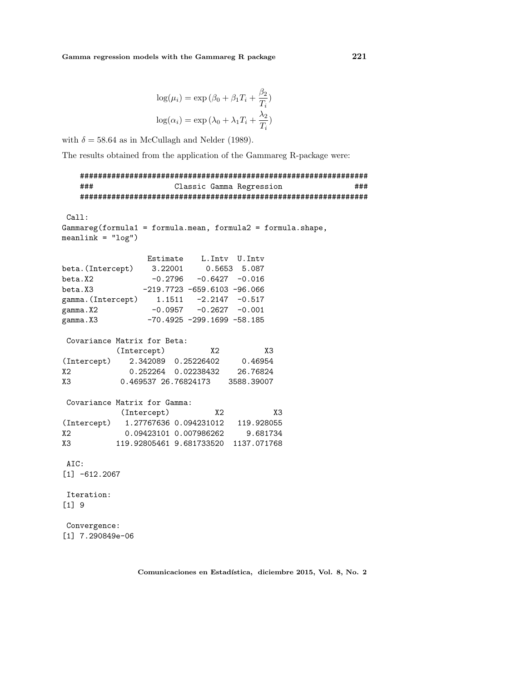$$
\log(\mu_i) = \exp(\beta_0 + \beta_1 T_i + \frac{\beta_2}{T_i})
$$

$$
\log(\alpha_i) = \exp(\lambda_0 + \lambda_1 T_i + \frac{\lambda_2}{T_i})
$$

with  $\delta = 58.64$  as in McCullagh and Nelder (1989).

The results obtained from the application of the Gammareg R-package were:

```
################################################################
   ### Classic Gamma Regression ###
   ################################################################
Call:
Gammareg(formula1 = formula.mean, formula2 = formula.shape,
meanlink = "log")Estimate L.Intv U.Intv
beta.(Intercept) 3.22001 0.5653 5.087
beta.X2 -0.2796 -0.6427 -0.016
beta.X3 -219.7723 -659.6103 -96.066
gamma.(Intercept) 1.1511 -2.2147 -0.517
gamma.X2 -0.0957 -0.2627 -0.001
gamma.X3 -70.4925 -299.1699 -58.185
Covariance Matrix for Beta:
         (Intercept) X2 X3
(Intercept) 2.342089 0.25226402 0.46954
X2 0.252264 0.02238432 26.76824
X3 0.469537 26.76824173 3588.39007
Covariance Matrix for Gamma:
          (Intercept) X2 X3
(Intercept) 1.27767636 0.094231012 119.928055
X2 0.09423101 0.007986262 9.681734
X3 119.92805461 9.681733520 1137.071768
AIC:
[1] -612.2067
Iteration:
[1] 9
Convergence:
[1] 7.290849e-06
```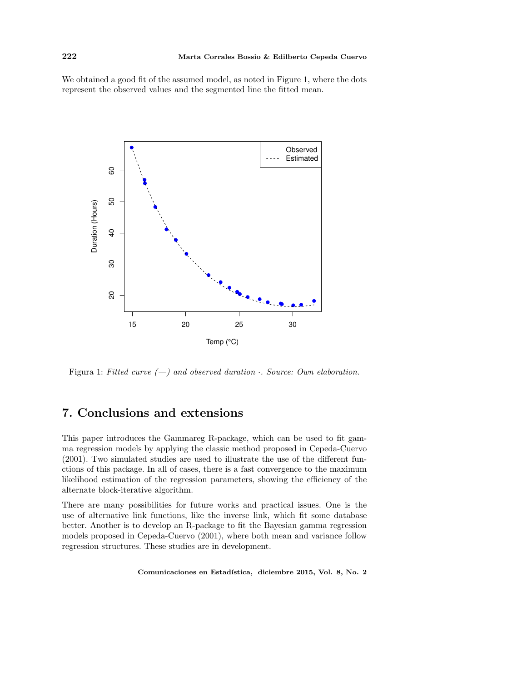#### 222 Marta Corrales Bossio & Edilberto Cepeda Cuervo

We obtained a good fit of the assumed model, as noted in Figure 1, where the dots represent the observed values and the segmented line the fitted mean.



Figura 1: Fitted curve  $(-)$  and observed duration  $\cdot$ . Source: Own elaboration.

## 7. Conclusions and extensions

This paper introduces the Gammareg R-package, which can be used to fit gamma regression models by applying the classic method proposed in Cepeda-Cuervo (2001). Two simulated studies are used to illustrate the use of the different functions of this package. In all of cases, there is a fast convergence to the maximum likelihood estimation of the regression parameters, showing the efficiency of the alternate block-iterative algorithm.

There are many possibilities for future works and practical issues. One is the use of alternative link functions, like the inverse link, which fit some database better. Another is to develop an R-package to fit the Bayesian gamma regression models proposed in Cepeda-Cuervo (2001), where both mean and variance follow regression structures. These studies are in development.